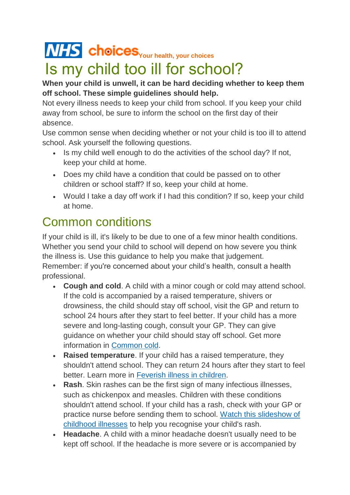## **NHS** choices [Y](http://www.nhs.uk/)our health, your choices

## Is my child too ill for school?

## **When your child is unwell, it can be hard deciding whether to keep them off school. These simple guidelines should help.**

Not every illness needs to keep your child from school. If you keep your child away from school, be sure to inform the school on the first day of their absence.

Use common sense when deciding whether or not your child is too ill to attend school. Ask yourself the following questions.

- Is my child well enough to do the activities of the school day? If not, keep your child at home.
- Does my child have a condition that could be passed on to other children or school staff? If so, keep your child at home.
- Would I take a day off work if I had this condition? If so, keep your child at home.

## Common conditions

If your child is ill, it's likely to be due to one of a few minor health conditions. Whether you send your child to school will depend on how severe you think the illness is. Use this guidance to help you make that judgement. Remember: if you're concerned about your child's health, consult a health professional.

- **Cough and cold**. A child with a minor cough or cold may attend school. If the cold is accompanied by a raised temperature, shivers or drowsiness, the child should stay off school, visit the GP and return to school 24 hours after they start to feel better. If your child has a more severe and long-lasting cough, consult your GP. They can give guidance on whether your child should stay off school. Get more information in [Common cold.](http://www.nhs.uk/conditions/cold-common/pages/introduction.aspx)
- **Raised temperature**. If your child has a raised temperature, they shouldn't attend school. They can return 24 hours after they start to feel better. Learn more in [Feverish illness in children.](http://www.nhs.uk/conditions/feverchildren/Pages/Introduction.aspx)
- **Rash**. Skin rashes can be the first sign of many infectious illnesses, such as chickenpox and measles. Children with these conditions shouldn't attend school. If your child has a rash, check with your GP or practice nurse before sending them to school. [Watch this slideshow of](http://www.nhs.uk/Tools/Pages/Childhoodillness.aspx)  [childhood illnesses](http://www.nhs.uk/Tools/Pages/Childhoodillness.aspx) to help you recognise your child's rash.
- **Headache**. A child with a minor headache doesn't usually need to be kept off school. If the headache is more severe or is accompanied by